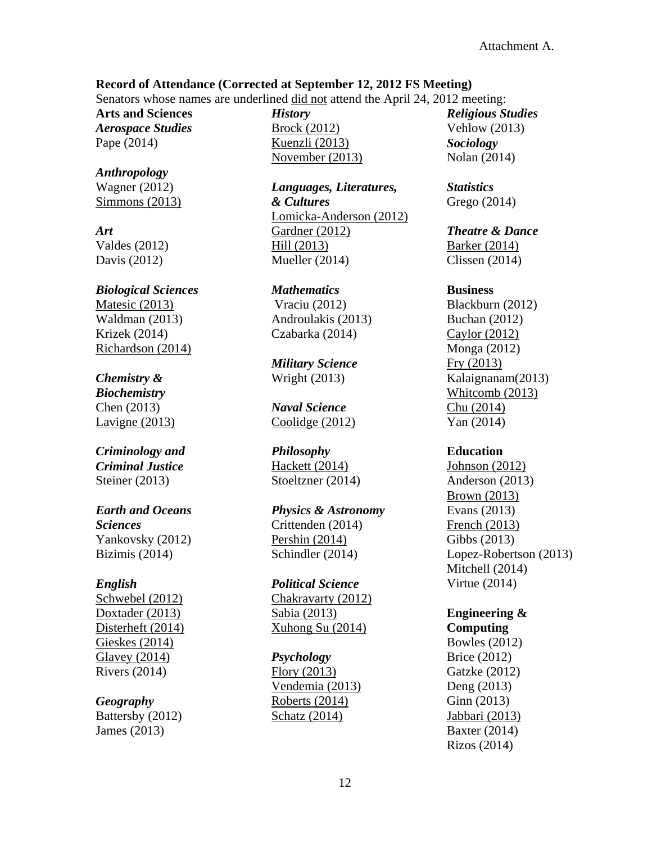### **Record of Attendance (Corrected at September 12, 2012 FS Meeting)**

Senators whose names are underlined did not attend the April 24, 2012 meeting:

**Arts and Sciences** *Aerospace Studies* Pape (2014)

*Anthropology* Wagner (2012) Simmons (2013)

*Art* Valdes (2012) Davis (2012)

*Biological Sciences* Matesic (2013) Waldman (2013) Krizek (2014) Richardson (2014)

## *Chemistry &*

*Biochemistry* Chen (2013) Lavigne (2013)

*Criminology and Criminal Justice* Steiner (2013)

### *Earth and Oceans Sciences* Yankovsky (2012) Bizimis (2014)

### *English*

Schwebel (2012) Doxtader (2013) Disterheft (2014) Gieskes (2014) Glavey (2014) Rivers (2014)

# *Geography*

Battersby (2012) James (2013)

*History* Brock (2012) Kuenzli (2013) November (2013)

*Languages, Literatures, & Cultures* Lomicka-Anderson (2012) Gardner (2012) Hill (2013) Mueller (2014)

*Mathematics* Vraciu (2012) Androulakis (2013) Czabarka (2014)

*Military Science* Wright (2013)

*Naval Science* Coolidge (2012)

*Philosophy* Hackett (2014) Stoeltzner (2014)

*Physics & Astronomy* Crittenden (2014) Pershin (2014) Schindler (2014)

*Political Science* Chakravarty (2012) Sabia (2013) Xuhong Su (2014)

### *Psychology*

Flory (2013) Vendemia (2013) Roberts (2014) Schatz (2014)

*Religious Studies* Vehlow (2013) *Sociology* Nolan (2014)

*Statistics* Grego (2014)

*Theatre & Dance* Barker (2014) Clissen (2014)

#### **Business**

Blackburn (2012) Buchan (2012) Caylor (2012) Monga (2012) Fry (2013) Kalaignanam(2013) Whitcomb (2013) Chu (2014) Yan (2014)

### **Education**

Johnson (2012) Anderson (2013) Brown (2013) Evans (2013) French (2013) Gibbs (2013) Lopez-Robertson (2013) Mitchell (2014) Virtue (2014)

# **Engineering &**

**Computing** Bowles (2012) Brice (2012) Gatzke (2012) Deng (2013) Ginn (2013) Jabbari (2013) Baxter (2014) Rizos (2014)